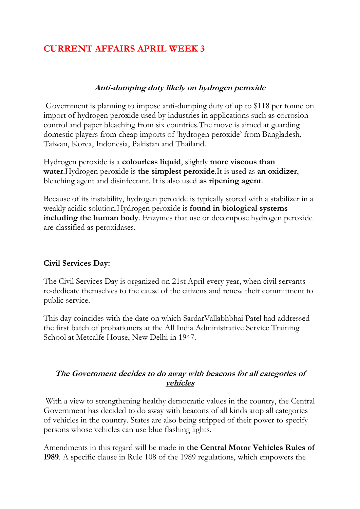# **CURRENT AFFAIRS APRIL WEEK 3**

#### **Anti-dumping duty likely on hydrogen peroxide**

Government is planning to impose anti-dumping duty of up to \$118 per tonne on import of hydrogen peroxide used by industries in applications such as corrosion control and paper bleaching from six countries.The move is aimed at guarding domestic players from cheap imports of 'hydrogen peroxide' from Bangladesh, Taiwan, Korea, Indonesia, Pakistan and Thailand.

Hydrogen peroxide is a **colourless liquid**, slightly **more viscous than water**.Hydrogen peroxide is **the simplest peroxide**.It is used as **an oxidizer**, bleaching agent and disinfectant. It is also used **as ripening agent**.

Because of its instability, hydrogen peroxide is typically stored with a stabilizer in a weakly acidic solution.Hydrogen peroxide is **found in biological systems including the human body**. Enzymes that use or decompose hydrogen peroxide are classified as peroxidases.

#### **Civil Services Day:**

The Civil Services Day is organized on 21st April every year, when civil servants re-dedicate themselves to the cause of the citizens and renew their commitment to public service.

This day coincides with the date on which SardarVallabhbhai Patel had addressed the first batch of probationers at the All India Administrative Service Training School at Metcalfe House, New Delhi in 1947.

## **The Government decides to do away with beacons for all categories of vehicles**

With a view to strengthening healthy democratic values in the country, the Central Government has decided to do away with beacons of all kinds atop all categories of vehicles in the country. States are also being stripped of their power to specify persons whose vehicles can use blue flashing lights.

Amendments in this regard will be made in **the Central Motor Vehicles Rules of 1989**. A specific clause in Rule 108 of the 1989 regulations, which empowers the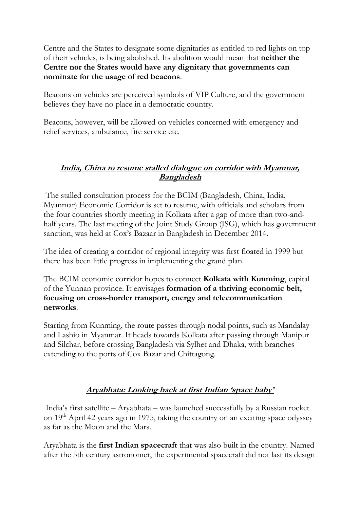Centre and the States to designate some dignitaries as entitled to red lights on top of their vehicles, is being abolished. Its abolition would mean that **neither the Centre nor the States would have any dignitary that governments can nominate for the usage of red beacons**.

Beacons on vehicles are perceived symbols of VIP Culture, and the government believes they have no place in a democratic country.

Beacons, however, will be allowed on vehicles concerned with emergency and relief services, ambulance, fire service etc.

#### **India, China to resume stalled dialogue on corridor with Myanmar, Bangladesh**

The stalled consultation process for the BCIM (Bangladesh, China, India, Myanmar) Economic Corridor is set to resume, with officials and scholars from the four countries shortly meeting in Kolkata after a gap of more than two-andhalf years. The last meeting of the Joint Study Group (JSG), which has government sanction, was held at Cox's Bazaar in Bangladesh in December 2014.

The idea of creating a corridor of regional integrity was first floated in 1999 but there has been little progress in implementing the grand plan.

The BCIM economic corridor hopes to connect **Kolkata with Kunming**, capital of the Yunnan province. It envisages **formation of a thriving economic belt, focusing on cross-border transport, energy and telecommunication networks**.

Starting from Kunming, the route passes through nodal points, such as Mandalay and Lashio in Myanmar. It heads towards Kolkata after passing through Manipur and Silchar, before crossing Bangladesh via Sylhet and Dhaka, with branches extending to the ports of Cox Bazar and Chittagong.

# **Aryabhata: Looking back at first Indian 'space baby'**

India's first satellite – Aryabhata – was launched successfully by a Russian rocket on 19<sup>th</sup> April 42 years ago in 1975, taking the country on an exciting space odyssey as far as the Moon and the Mars.

Aryabhata is the **first Indian spacecraft** that was also built in the country. Named after the 5th century astronomer, the experimental spacecraft did not last its design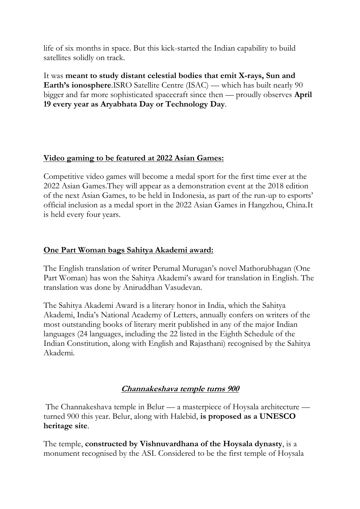life of six months in space. But this kick-started the Indian capability to build satellites solidly on track.

It was **meant to study distant celestial bodies that emit X-rays, Sun and Earth's ionosphere**.ISRO Satellite Centre (ISAC) — which has built nearly 90 bigger and far more sophisticated spacecraft since then — proudly observes **April 19 every year as Aryabhata Day or Technology Day**.

# **Video gaming to be featured at 2022 Asian Games:**

Competitive video games will become a medal sport for the first time ever at the 2022 Asian Games.They will appear as a demonstration event at the 2018 edition of the next Asian Games, to be held in Indonesia, as part of the run-up to esports' official inclusion as a medal sport in the 2022 Asian Games in Hangzhou, China.It is held every four years.

# **One Part Woman bags Sahitya Akademi award:**

The English translation of writer Perumal Murugan's novel Mathorubhagan (One Part Woman) has won the Sahitya Akademi's award for translation in English. The translation was done by Aniruddhan Vasudevan.

The Sahitya Akademi Award is a literary honor in India, which the Sahitya Akademi, India's National Academy of Letters, annually confers on writers of the most outstanding books of literary merit published in any of the major Indian languages (24 languages, including the 22 listed in the Eighth Schedule of the Indian Constitution, along with English and Rajasthani) recognised by the Sahitya Akademi.

# **Channakeshava temple turns 900**

The Channakeshava temple in Belur — a masterpiece of Hoysala architecture turned 900 this year. Belur, along with Halebid, **is proposed as a UNESCO heritage site**.

The temple, **constructed by Vishnuvardhana of the Hoysala dynasty**, is a monument recognised by the ASI. Considered to be the first temple of Hoysala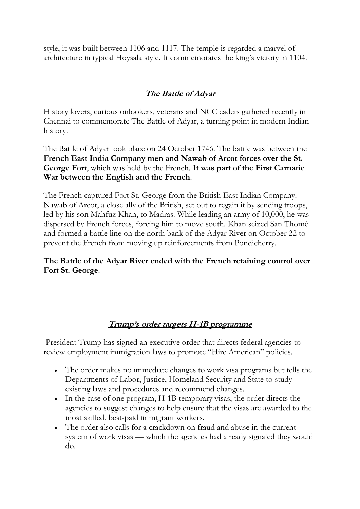style, it was built between 1106 and 1117. The temple is regarded a marvel of architecture in typical Hoysala style. It commemorates the king's victory in 1104.

# **The Battle of Adyar**

History lovers, curious onlookers, veterans and NCC cadets gathered recently in Chennai to commemorate The Battle of Adyar, a turning point in modern Indian history.

The Battle of Adyar took place on 24 October 1746. The battle was between the **French East India Company men and Nawab of Arcot forces over the St. George Fort**, which was held by the French. **It was part of the First Carnatic War between the English and the French**.

The French captured Fort St. George from the British East Indian Company. Nawab of Arcot, a close ally of the British, set out to regain it by sending troops, led by his son Mahfuz Khan, to Madras. While leading an army of 10,000, he was dispersed by French forces, forcing him to move south. Khan seized San Thomé and formed a battle line on the north bank of the Adyar River on October 22 to prevent the French from moving up reinforcements from Pondicherry.

**The Battle of the Adyar River ended with the French retaining control over Fort St. George**.

# **Trump's order targets H-1B programme**

President Trump has signed an executive order that directs federal agencies to review employment immigration laws to promote "Hire American" policies.

- The order makes no immediate changes to work visa programs but tells the Departments of Labor, Justice, Homeland Security and State to study existing laws and procedures and recommend changes.
- In the case of one program, H-1B temporary visas, the order directs the agencies to suggest changes to help ensure that the visas are awarded to the most skilled, best-paid immigrant workers.
- The order also calls for a crackdown on fraud and abuse in the current system of work visas — which the agencies had already signaled they would do.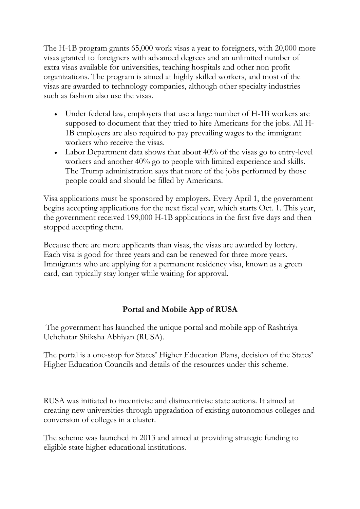The H-1B program grants 65,000 work visas a year to foreigners, with 20,000 more visas granted to foreigners with advanced degrees and an unlimited number of extra visas available for universities, teaching hospitals and other non profit organizations. The program is aimed at highly skilled workers, and most of the visas are awarded to technology companies, although other specialty industries such as fashion also use the visas.

- Under federal law, employers that use a large number of H-1B workers are supposed to document that they tried to hire Americans for the jobs. All H-1B employers are also required to pay prevailing wages to the immigrant workers who receive the visas.
- Labor Department data shows that about 40% of the visas go to entry-level workers and another 40% go to people with limited experience and skills. The Trump administration says that more of the jobs performed by those people could and should be filled by Americans.

Visa applications must be sponsored by employers. Every April 1, the government begins accepting applications for the next fiscal year, which starts Oct. 1. This year, the government received 199,000 H-1B applications in the first five days and then stopped accepting them.

Because there are more applicants than visas, the visas are awarded by lottery. Each visa is good for three years and can be renewed for three more years. Immigrants who are applying for a permanent residency visa, known as a green card, can typically stay longer while waiting for approval.

# **Portal and Mobile App of RUSA**

The government has launched the unique portal and mobile app of Rashtriya Uchchatar Shiksha Abhiyan (RUSA).

The portal is a one-stop for States' Higher Education Plans, decision of the States' Higher Education Councils and details of the resources under this scheme.

RUSA was initiated to incentivise and disincentivise state actions. It aimed at creating new universities through upgradation of existing autonomous colleges and conversion of colleges in a cluster.

The scheme was launched in 2013 and aimed at providing strategic funding to eligible state higher educational institutions.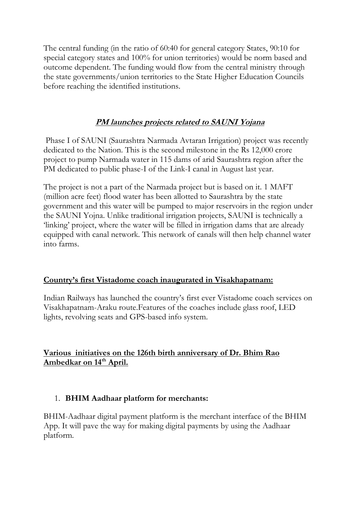The central funding (in the ratio of 60:40 for general category States, 90:10 for special category states and 100% for union territories) would be norm based and outcome dependent. The funding would flow from the central ministry through the state governments/union territories to the State Higher Education Councils before reaching the identified institutions.

## **PM launches projects related to SAUNI Yojana**

Phase I of SAUNI (Saurashtra Narmada Avtaran Irrigation) project was recently dedicated to the Nation. This is the second milestone in the Rs 12,000 crore project to pump Narmada water in 115 dams of arid Saurashtra region after the PM dedicated to public phase-I of the Link-I canal in August last year.

The project is not a part of the Narmada project but is based on it. 1 MAFT (million acre feet) flood water has been allotted to Saurashtra by the state government and this water will be pumped to major reservoirs in the region under the SAUNI Yojna. Unlike traditional irrigation projects, SAUNI is technically a 'linking' project, where the water will be filled in irrigation dams that are already equipped with canal network. This network of canals will then help channel water into farms.

#### **Country's first Vistadome coach inaugurated in Visakhapatnam:**

Indian Railways has launched the country's first ever Vistadome coach services on Visakhapatnam-Araku route.Features of the coaches include glass roof, LED lights, revolving seats and GPS-based info system.

## **Various initiatives on the 126th birth anniversary of Dr. Bhim Rao Ambedkar on 14th April.**

#### 1. **BHIM Aadhaar platform for merchants:**

BHIM-Aadhaar digital payment platform is the merchant interface of the BHIM App. It will pave the way for making digital payments by using the Aadhaar platform.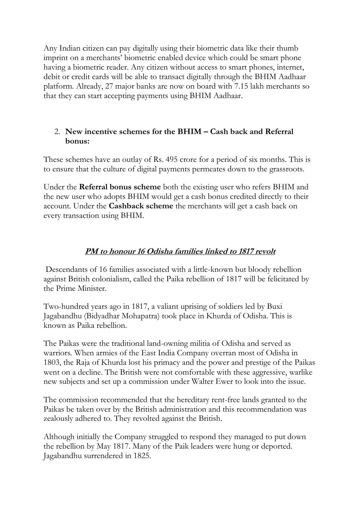Any Indian citizen can pay digitally using their biometric data like their thumb imprint on a merchants' biometric enabled device which could be smart phone having a biometric reader. Any citizen without access to smart phones, internet, debit or credit cards will be able to transact digitally through the BHIM Aadhaar platform. Already, 27 major banks are now on board with 7.15 lakh merchants so that they can start accepting payments using BHIM Aadhaar.

## 2. **New incentive schemes for the BHIM – Cash back and Referral bonus:**

These schemes have an outlay of Rs. 495 crore for a period of six months. This is to ensure that the culture of digital payments permeates down to the grassroots.

Under the **Referral bonus scheme** both the existing user who refers BHIM and the new user who adopts BHIM would get a cash bonus credited directly to their account. Under the **Cashback scheme** the merchants will get a cash back on every transaction using BHIM.

## **PM to honour 16 Odisha families linked to 1817 revolt**

Descendants of 16 families associated with a little-known but bloody rebellion against British colonialism, called the Paika rebellion of 1817 will be felicitated by the Prime Minister.

Two-hundred years ago in 1817, a valiant uprising of soldiers led by Buxi Jagabandhu (Bidyadhar Mohapatra) took place in Khurda of Odisha. This is known as Paika rebellion.

The Paikas were the traditional land-owning militia of Odisha and served as warriors. When armies of the East India Company overran most of Odisha in 1803, the Raja of Khurda lost his primacy and the power and prestige of the Paikas went on a decline. The British were not comfortable with these aggressive, warlike new subjects and set up a commission under Walter Ewer to look into the issue.

The commission recommended that the hereditary rent-free lands granted to the Paikas be taken over by the British administration and this recommendation was zealously adhered to. They revolted against the British.

Although initially the Company struggled to respond they managed to put down the rebellion by May 1817. Many of the Paik leaders were hung or deported. Jagabandhu surrendered in 1825.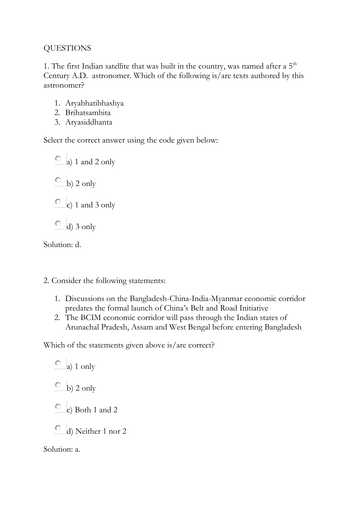## QUESTIONS

1. The first Indian satellite that was built in the country, was named after a  $5<sup>th</sup>$ Century A.D. astronomer. Which of the following is/are texts authored by this astronomer?

- 1. Aryabhatibhashya
- 2. Brihatsamhita
- 3. Aryasiddhanta

Select the correct answer using the code given below:

 $\circ$  a) 1 and 2 only  $\overline{b}$  b) 2 only  $\overline{c}$  c) 1 and 3 only  $\overline{O}$  d) 3 only

Solution: d.

- 2. Consider the following statements:
	- 1. Discussions on the Bangladesh-China-India-Myanmar economic corridor predates the formal launch of China's Belt and Road Initiative
	- 2. The BCIM economic corridor will pass through the Indian states of Arunachal Pradesh, Assam and West Bengal before entering Bangladesh

Which of the statements given above is/are correct?

 $\overline{a}$  a) 1 only  $\overline{b}$  b) 2 only  $\circ$  c) Both 1 and 2 d) Neither 1 nor 2 Solution: a.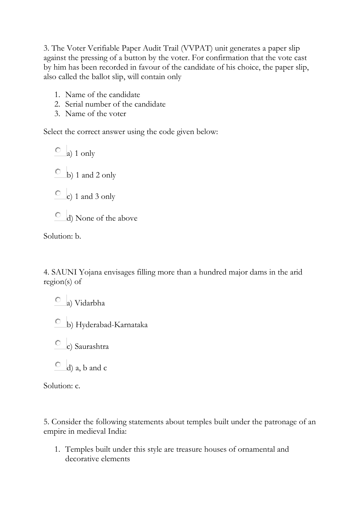3. The Voter Verifiable Paper Audit Trail (VVPAT) unit generates a paper slip against the pressing of a button by the voter. For confirmation that the vote cast by him has been recorded in favour of the candidate of his choice, the paper slip, also called the ballot slip, will contain only

- 1. Name of the candidate
- 2. Serial number of the candidate
- 3. Name of the voter

Select the correct answer using the code given below:

 $\circ$  a) 1 only  $\circ$  b) 1 and 2 only  $\circ$  c) 1 and 3 only

d) None of the above

Solution: b.

4. SAUNI Yojana envisages filling more than a hundred major dams in the arid region(s) of

a) Vidarbha

- b) Hyderabad-Karnataka
- c) Saurashtra
- $\circ$  d) a, b and c

Solution: c.

5. Consider the following statements about temples built under the patronage of an empire in medieval India:

1. Temples built under this style are treasure houses of ornamental and decorative elements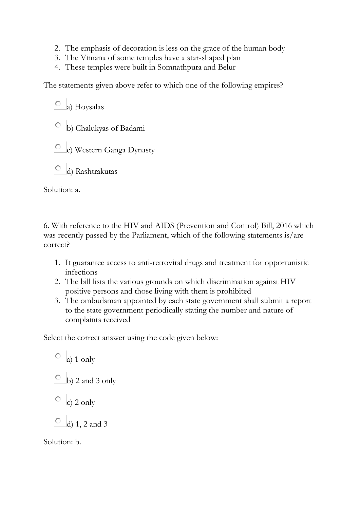- 2. The emphasis of decoration is less on the grace of the human body
- 3. The Vimana of some temples have a star-shaped plan
- 4. These temples were built in Somnathpura and Belur

The statements given above refer to which one of the following empires?

 $\circ$  a) Hoysalas

- b) Chalukyas of Badami
- c) Western Ganga Dynasty
- d) Rashtrakutas

Solution: a.

6. With reference to the HIV and AIDS (Prevention and Control) Bill, 2016 which was recently passed by the Parliament, which of the following statements is/are correct?

- 1. It guarantee access to anti-retroviral drugs and treatment for opportunistic infections
- 2. The bill lists the various grounds on which discrimination against HIV positive persons and those living with them is prohibited
- 3. The ombudsman appointed by each state government shall submit a report to the state government periodically stating the number and nature of complaints received

Select the correct answer using the code given below:

 $\circ$  a) 1 only  $\circ$  b) 2 and 3 only  $\circ$  c) 2 only О d) 1, 2 and 3 Solution: b.